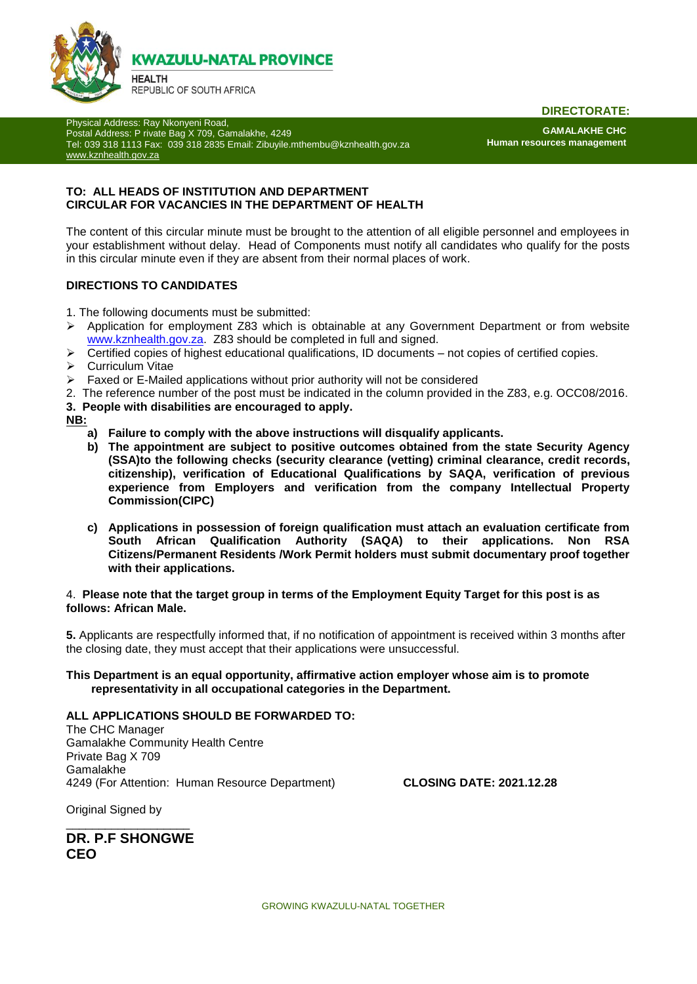

**DIRECTORATE:**

Physical Address: Ray Nkonyeni Road, Postal Address: P rivate Bag X 709, Gamalakhe, 4249 Tel: 039 318 1113 Fax: 039 318 2835 Email: Zibuyile.mthembu@kznhealth.gov.za [www.kznhealth.gov.za](http://www.kznhealth.gov.za/)

**GAMALAKHE CHC Human resources management**

# **TO: ALL HEADS OF INSTITUTION AND DEPARTMENT CIRCULAR FOR VACANCIES IN THE DEPARTMENT OF HEALTH**

The content of this circular minute must be brought to the attention of all eligible personnel and employees in your establishment without delay. Head of Components must notify all candidates who qualify for the posts in this circular minute even if they are absent from their normal places of work.

# **DIRECTIONS TO CANDIDATES**

1. The following documents must be submitted:

- Application for employment Z83 which is obtainable at any Government Department or from website [www.kznhealth.gov.za.](http://www.kznhealth.gov.za/) Z83 should be completed in full and signed.
- $\triangleright$  Certified copies of highest educational qualifications, ID documents not copies of certified copies.
- $\triangleright$  Curriculum Vitae
- $\triangleright$  Faxed or E-Mailed applications without prior authority will not be considered
- 2. The reference number of the post must be indicated in the column provided in the Z83, e.g. OCC08/2016.
- **3. People with disabilities are encouraged to apply.**
- **NB:** 
	- **a) Failure to comply with the above instructions will disqualify applicants.**
	- **b) The appointment are subject to positive outcomes obtained from the state Security Agency (SSA)to the following checks (security clearance (vetting) criminal clearance, credit records, citizenship), verification of Educational Qualifications by SAQA, verification of previous experience from Employers and verification from the company Intellectual Property Commission(CIPC)**
	- **c) Applications in possession of foreign qualification must attach an evaluation certificate from South African Qualification Authority (SAQA) to their applications. Non RSA Citizens/Permanent Residents /Work Permit holders must submit documentary proof together with their applications.**

# 4. **Please note that the target group in terms of the Employment Equity Target for this post is as follows: African Male.**

**5.** Applicants are respectfully informed that, if no notification of appointment is received within 3 months after the closing date, they must accept that their applications were unsuccessful.

### **This Department is an equal opportunity, affirmative action employer whose aim is to promote representativity in all occupational categories in the Department.**

# **ALL APPLICATIONS SHOULD BE FORWARDED TO:**

The CHC Manager Gamalakhe Community Health Centre Private Bag X 709 Gamalakhe 4249 (For Attention: Human Resource Department) **CLOSING DATE: 2021.12.28**

Original Signed by

# **DR. P.F SHONGWE CEO**

\_\_\_\_\_\_\_\_\_\_\_\_\_\_\_\_\_\_\_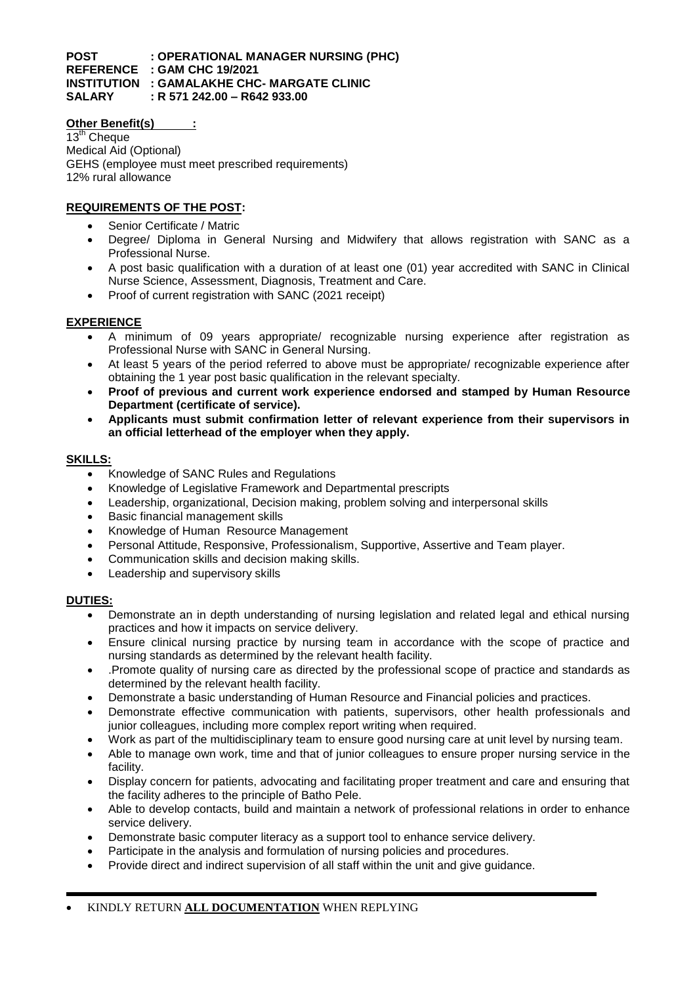### **POST : OPERATIONAL MANAGER NURSING (PHC) REFERENCE : GAM CHC 19/2021 INSTITUTION : GAMALAKHE CHC- MARGATE CLINIC SALARY : R 571 242.00 – R642 933.00**

# **Other Benefit(s) :**

 $13<sup>th</sup>$  Cheque Medical Aid (Optional) GEHS (employee must meet prescribed requirements) 12% rural allowance

# **REQUIREMENTS OF THE POST:**

- Senior Certificate / Matric
- Degree/ Diploma in General Nursing and Midwifery that allows registration with SANC as a Professional Nurse.
- A post basic qualification with a duration of at least one (01) year accredited with SANC in Clinical Nurse Science, Assessment, Diagnosis, Treatment and Care.
- Proof of current registration with SANC (2021 receipt)

# **EXPERIENCE**

- A minimum of 09 years appropriate/ recognizable nursing experience after registration as Professional Nurse with SANC in General Nursing.
- At least 5 years of the period referred to above must be appropriate/ recognizable experience after obtaining the 1 year post basic qualification in the relevant specialty.
- **Proof of previous and current work experience endorsed and stamped by Human Resource Department (certificate of service).**
- **Applicants must submit confirmation letter of relevant experience from their supervisors in an official letterhead of the employer when they apply.**

### **SKILLS:**

- Knowledge of SANC Rules and Regulations
- Knowledge of Legislative Framework and Departmental prescripts
- Leadership, organizational, Decision making, problem solving and interpersonal skills
- **•** Basic financial management skills
- Knowledge of Human Resource Management
- Personal Attitude, Responsive, Professionalism, Supportive, Assertive and Team player.
- Communication skills and decision making skills.
- Leadership and supervisory skills

# **DUTIES:**

- Demonstrate an in depth understanding of nursing legislation and related legal and ethical nursing practices and how it impacts on service delivery.
- Ensure clinical nursing practice by nursing team in accordance with the scope of practice and nursing standards as determined by the relevant health facility.
- .Promote quality of nursing care as directed by the professional scope of practice and standards as determined by the relevant health facility.
- Demonstrate a basic understanding of Human Resource and Financial policies and practices.
- Demonstrate effective communication with patients, supervisors, other health professionals and junior colleagues, including more complex report writing when required.
- Work as part of the multidisciplinary team to ensure good nursing care at unit level by nursing team.
- Able to manage own work, time and that of junior colleagues to ensure proper nursing service in the facility.
- Display concern for patients, advocating and facilitating proper treatment and care and ensuring that the facility adheres to the principle of Batho Pele.
- Able to develop contacts, build and maintain a network of professional relations in order to enhance service delivery.
- Demonstrate basic computer literacy as a support tool to enhance service delivery.
- Participate in the analysis and formulation of nursing policies and procedures.
- Provide direct and indirect supervision of all staff within the unit and give guidance.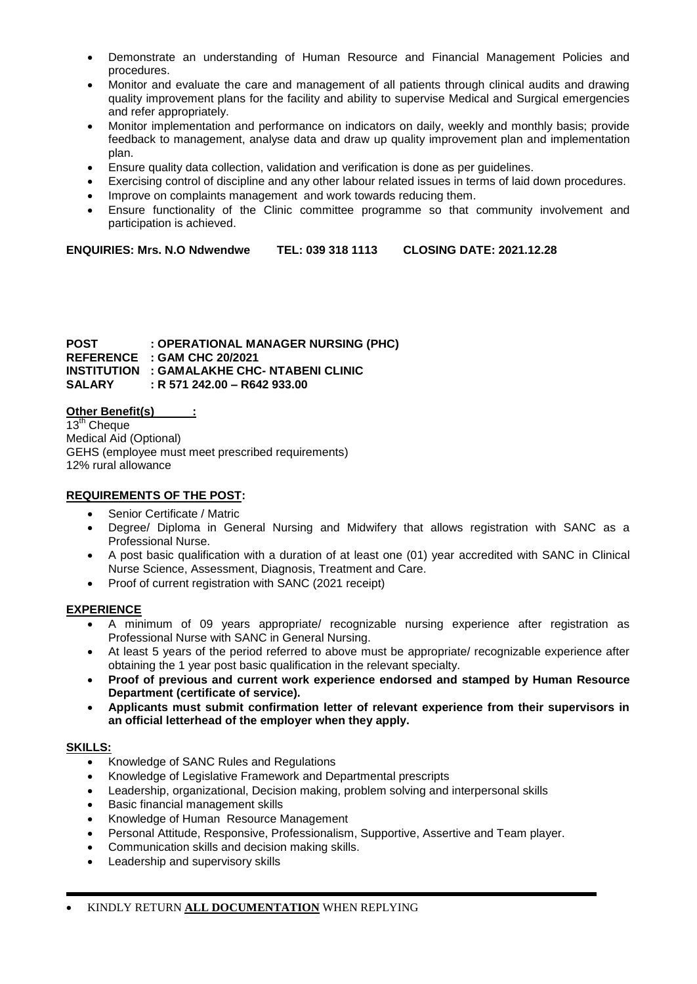- Demonstrate an understanding of Human Resource and Financial Management Policies and procedures.
- Monitor and evaluate the care and management of all patients through clinical audits and drawing quality improvement plans for the facility and ability to supervise Medical and Surgical emergencies and refer appropriately.
- Monitor implementation and performance on indicators on daily, weekly and monthly basis; provide feedback to management, analyse data and draw up quality improvement plan and implementation plan.
- Ensure quality data collection, validation and verification is done as per guidelines.
- Exercising control of discipline and any other labour related issues in terms of laid down procedures.
- Improve on complaints management and work towards reducing them.
- Ensure functionality of the Clinic committee programme so that community involvement and participation is achieved.

**ENQUIRIES: Mrs. N.O Ndwendwe TEL: 039 318 1113 CLOSING DATE: 2021.12.28**

**POST : OPERATIONAL MANAGER NURSING (PHC) REFERENCE : GAM CHC 20/2021 INSTITUTION : GAMALAKHE CHC- NTABENI CLINIC SALARY : R 571 242.00 – R642 933.00**

# **Other Benefit(s) :**

 $13<sup>th</sup>$  Cheque Medical Aid (Optional) GEHS (employee must meet prescribed requirements) 12% rural allowance

# **REQUIREMENTS OF THE POST:**

- Senior Certificate / Matric
- Degree/ Diploma in General Nursing and Midwifery that allows registration with SANC as a Professional Nurse.
- A post basic qualification with a duration of at least one (01) year accredited with SANC in Clinical Nurse Science, Assessment, Diagnosis, Treatment and Care.
- Proof of current registration with SANC (2021 receipt)

# **EXPERIENCE**

- A minimum of 09 years appropriate/ recognizable nursing experience after registration as Professional Nurse with SANC in General Nursing.
- At least 5 years of the period referred to above must be appropriate/ recognizable experience after obtaining the 1 year post basic qualification in the relevant specialty.
- **Proof of previous and current work experience endorsed and stamped by Human Resource Department (certificate of service).**
- **Applicants must submit confirmation letter of relevant experience from their supervisors in an official letterhead of the employer when they apply.**

# **SKILLS:**

- Knowledge of SANC Rules and Regulations
- Knowledge of Legislative Framework and Departmental prescripts
- Leadership, organizational, Decision making, problem solving and interpersonal skills
- Basic financial management skills
- Knowledge of Human Resource Management
- Personal Attitude, Responsive, Professionalism, Supportive, Assertive and Team player.
- Communication skills and decision making skills.
- Leadership and supervisory skills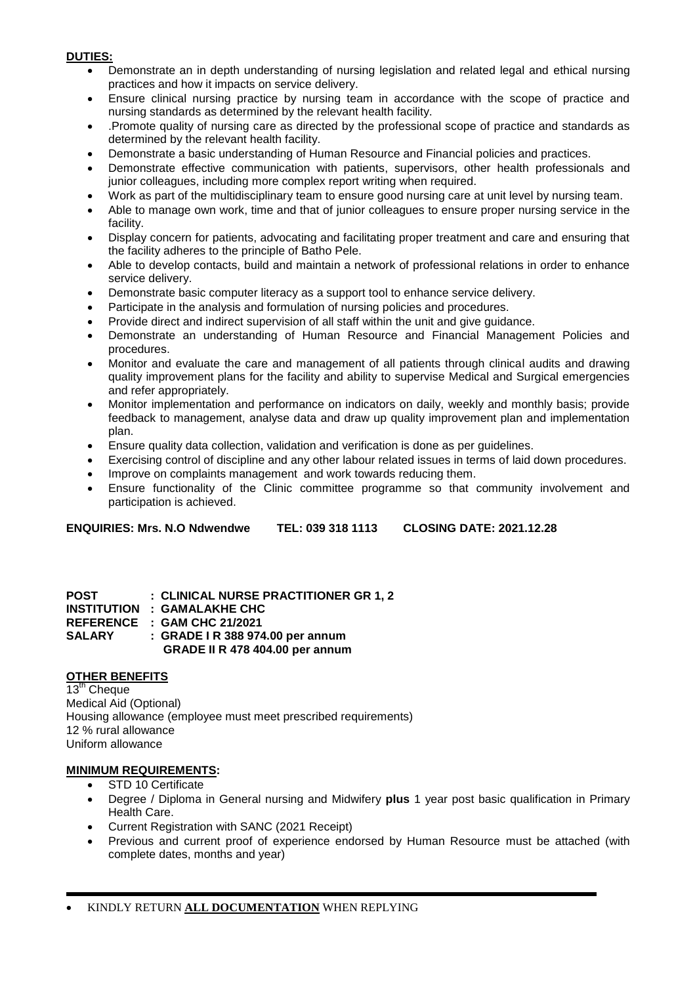# **DUTIES:**

- Demonstrate an in depth understanding of nursing legislation and related legal and ethical nursing practices and how it impacts on service delivery.
- Ensure clinical nursing practice by nursing team in accordance with the scope of practice and nursing standards as determined by the relevant health facility.
- .Promote quality of nursing care as directed by the professional scope of practice and standards as determined by the relevant health facility.
- Demonstrate a basic understanding of Human Resource and Financial policies and practices.
- Demonstrate effective communication with patients, supervisors, other health professionals and junior colleagues, including more complex report writing when required.
- Work as part of the multidisciplinary team to ensure good nursing care at unit level by nursing team.
- Able to manage own work, time and that of junior colleagues to ensure proper nursing service in the facility.
- Display concern for patients, advocating and facilitating proper treatment and care and ensuring that the facility adheres to the principle of Batho Pele.
- Able to develop contacts, build and maintain a network of professional relations in order to enhance service delivery.
- Demonstrate basic computer literacy as a support tool to enhance service delivery.
- Participate in the analysis and formulation of nursing policies and procedures.
- Provide direct and indirect supervision of all staff within the unit and give guidance.
- Demonstrate an understanding of Human Resource and Financial Management Policies and procedures.
- Monitor and evaluate the care and management of all patients through clinical audits and drawing quality improvement plans for the facility and ability to supervise Medical and Surgical emergencies and refer appropriately.
- Monitor implementation and performance on indicators on daily, weekly and monthly basis; provide feedback to management, analyse data and draw up quality improvement plan and implementation plan.
- Ensure quality data collection, validation and verification is done as per guidelines.
- Exercising control of discipline and any other labour related issues in terms of laid down procedures.
- Improve on complaints management and work towards reducing them.
- Ensure functionality of the Clinic committee programme so that community involvement and participation is achieved.

**ENQUIRIES: Mrs. N.O Ndwendwe TEL: 039 318 1113 CLOSING DATE: 2021.12.28**

| <b>POST</b> | : CLINICAL NURSE PRACTITIONER GR 1, 2 |
|-------------|---------------------------------------|
|             | INSTITUTION : GAMALAKHE CHC           |
|             | REFERENCE : GAM CHC 21/2021           |
| SALARY      | : GRADE I R 388 974.00 per annum      |
|             | GRADE II R 478 404.00 per annum       |

# **OTHER BENEFITS**

13<sup>th</sup> Cheque Medical Aid (Optional) Housing allowance (employee must meet prescribed requirements) 12 % rural allowance Uniform allowance

# **MINIMUM REQUIREMENTS:**

- STD 10 Certificate
- Degree / Diploma in General nursing and Midwifery **plus** 1 year post basic qualification in Primary Health Care.
- Current Registration with SANC (2021 Receipt)
- Previous and current proof of experience endorsed by Human Resource must be attached (with complete dates, months and year)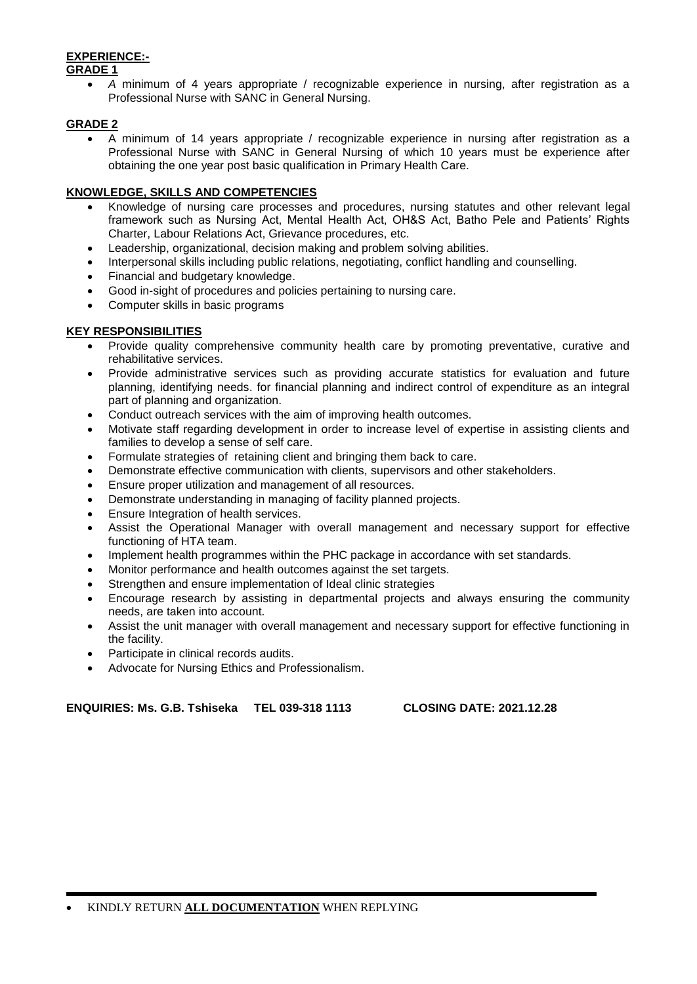# **EXPERIENCE:-**

# **GRADE 1**

 *A* minimum of 4 years appropriate / recognizable experience in nursing, after registration as a Professional Nurse with SANC in General Nursing.

# **GRADE 2**

 A minimum of 14 years appropriate / recognizable experience in nursing after registration as a Professional Nurse with SANC in General Nursing of which 10 years must be experience after obtaining the one year post basic qualification in Primary Health Care.

# **KNOWLEDGE, SKILLS AND COMPETENCIES**

- Knowledge of nursing care processes and procedures, nursing statutes and other relevant legal framework such as Nursing Act, Mental Health Act, OH&S Act, Batho Pele and Patients' Rights Charter, Labour Relations Act, Grievance procedures, etc.
- Leadership, organizational, decision making and problem solving abilities.
- Interpersonal skills including public relations, negotiating, conflict handling and counselling.
- Financial and budgetary knowledge.
- Good in-sight of procedures and policies pertaining to nursing care.
- Computer skills in basic programs

# **KEY RESPONSIBILITIES**

- Provide quality comprehensive community health care by promoting preventative, curative and rehabilitative services.
- Provide administrative services such as providing accurate statistics for evaluation and future planning, identifying needs. for financial planning and indirect control of expenditure as an integral part of planning and organization.
- Conduct outreach services with the aim of improving health outcomes.
- Motivate staff regarding development in order to increase level of expertise in assisting clients and families to develop a sense of self care.
- Formulate strategies of retaining client and bringing them back to care.
- Demonstrate effective communication with clients, supervisors and other stakeholders.
- Ensure proper utilization and management of all resources.
- Demonstrate understanding in managing of facility planned projects.
- Ensure Integration of health services.
- Assist the Operational Manager with overall management and necessary support for effective functioning of HTA team.
- Implement health programmes within the PHC package in accordance with set standards.
- Monitor performance and health outcomes against the set targets.
- Strengthen and ensure implementation of Ideal clinic strategies
- Encourage research by assisting in departmental projects and always ensuring the community needs, are taken into account.
- Assist the unit manager with overall management and necessary support for effective functioning in the facility.
- Participate in clinical records audits.
- Advocate for Nursing Ethics and Professionalism.

**ENQUIRIES: Ms. G.B. Tshiseka TEL 039-318 1113 CLOSING DATE: 2021.12.28**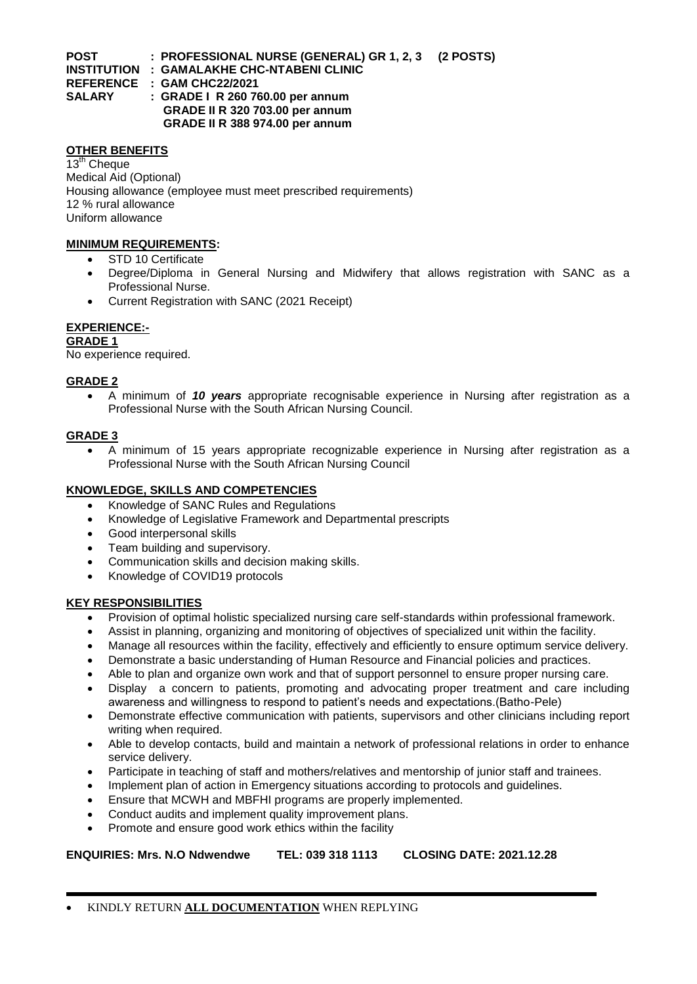| <b>POST</b>   | : PROFESSIONAL NURSE (GENERAL) GR 1, 2, 3 (2 POSTS) |  |
|---------------|-----------------------------------------------------|--|
|               | INSTITUTION : GAMALAKHE CHC-NTABENI CLINIC          |  |
|               | REFERENCE : GAM CHC22/2021                          |  |
| <b>SALARY</b> | : GRADE $\overline{1}$ R 260 760.00 per annum       |  |
|               | <b>GRADE II R 320 703.00 per annum</b>              |  |
|               | <b>GRADE II R 388 974.00 per annum</b>              |  |

# **OTHER BENEFITS**

 $13<sup>th</sup>$  Cheque Medical Aid (Optional) Housing allowance (employee must meet prescribed requirements) 12 % rural allowance Uniform allowance

## **MINIMUM REQUIREMENTS:**

- STD 10 Certificate
- Degree/Diploma in General Nursing and Midwifery that allows registration with SANC as a Professional Nurse.
- Current Registration with SANC (2021 Receipt)

### **EXPERIENCE:-**

#### **GRADE 1**

No experience required.

# **GRADE 2**

 A minimum of *10 years* appropriate recognisable experience in Nursing after registration as a Professional Nurse with the South African Nursing Council.

### **GRADE 3**

 A minimum of 15 years appropriate recognizable experience in Nursing after registration as a Professional Nurse with the South African Nursing Council

# **KNOWLEDGE, SKILLS AND COMPETENCIES**

- Knowledge of SANC Rules and Regulations
- Knowledge of Legislative Framework and Departmental prescripts
- Good interpersonal skills
- Team building and supervisory.
- Communication skills and decision making skills.
- Knowledge of COVID19 protocols

#### **KEY RESPONSIBILITIES**

- Provision of optimal holistic specialized nursing care self-standards within professional framework.
- Assist in planning, organizing and monitoring of objectives of specialized unit within the facility.
- Manage all resources within the facility, effectively and efficiently to ensure optimum service delivery.
- Demonstrate a basic understanding of Human Resource and Financial policies and practices.
- Able to plan and organize own work and that of support personnel to ensure proper nursing care.
- Display a concern to patients, promoting and advocating proper treatment and care including awareness and willingness to respond to patient's needs and expectations.(Batho-Pele)
- Demonstrate effective communication with patients, supervisors and other clinicians including report writing when required.
- Able to develop contacts, build and maintain a network of professional relations in order to enhance service delivery.
- Participate in teaching of staff and mothers/relatives and mentorship of junior staff and trainees.
- Implement plan of action in Emergency situations according to protocols and guidelines.
- Ensure that MCWH and MBFHI programs are properly implemented.
- Conduct audits and implement quality improvement plans.
- Promote and ensure good work ethics within the facility

# **ENQUIRIES: Mrs. N.O Ndwendwe TEL: 039 318 1113 CLOSING DATE: 2021.12.28**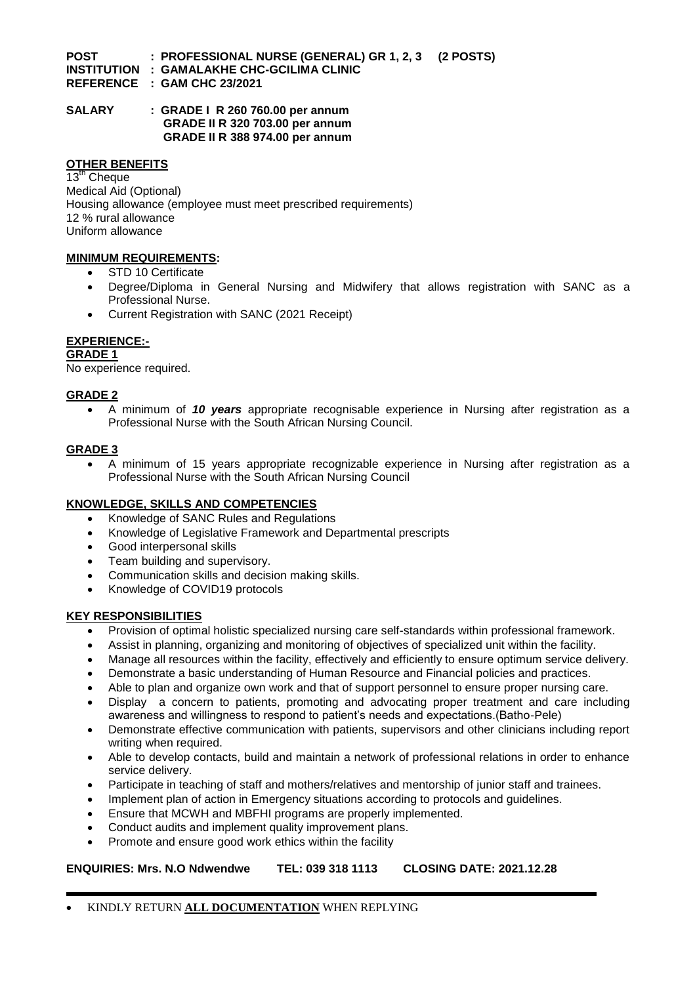**POST : PROFESSIONAL NURSE (GENERAL) GR 1, 2, 3 (2 POSTS) INSTITUTION : GAMALAKHE CHC-GCILIMA CLINIC REFERENCE : GAM CHC 23/2021**

**SALARY : GRADE I R 260 760.00 per annum GRADE II R 320 703.00 per annum GRADE II R 388 974.00 per annum**

# **OTHER BENEFITS**

13<sup>th</sup> Cheque Medical Aid (Optional) Housing allowance (employee must meet prescribed requirements) 12 % rural allowance Uniform allowance

#### **MINIMUM REQUIREMENTS:**

- STD 10 Certificate
- Degree/Diploma in General Nursing and Midwifery that allows registration with SANC as a Professional Nurse.
- Current Registration with SANC (2021 Receipt)

### **EXPERIENCE:-**

**GRADE 1**

No experience required.

### **GRADE 2**

 A minimum of *10 years* appropriate recognisable experience in Nursing after registration as a Professional Nurse with the South African Nursing Council.

#### **GRADE 3**

 A minimum of 15 years appropriate recognizable experience in Nursing after registration as a Professional Nurse with the South African Nursing Council

### **KNOWLEDGE, SKILLS AND COMPETENCIES**

- Knowledge of SANC Rules and Regulations
- Knowledge of Legislative Framework and Departmental prescripts
- Good interpersonal skills
- Team building and supervisory.
- Communication skills and decision making skills.
- Knowledge of COVID19 protocols

#### **KEY RESPONSIBILITIES**

- Provision of optimal holistic specialized nursing care self-standards within professional framework.
- Assist in planning, organizing and monitoring of objectives of specialized unit within the facility.
- Manage all resources within the facility, effectively and efficiently to ensure optimum service delivery.
- Demonstrate a basic understanding of Human Resource and Financial policies and practices.
- Able to plan and organize own work and that of support personnel to ensure proper nursing care.
- Display a concern to patients, promoting and advocating proper treatment and care including awareness and willingness to respond to patient's needs and expectations.(Batho-Pele)
- Demonstrate effective communication with patients, supervisors and other clinicians including report writing when required.
- Able to develop contacts, build and maintain a network of professional relations in order to enhance service delivery.
- Participate in teaching of staff and mothers/relatives and mentorship of junior staff and trainees.
- Implement plan of action in Emergency situations according to protocols and guidelines.
- Ensure that MCWH and MBFHI programs are properly implemented.
- Conduct audits and implement quality improvement plans.
- Promote and ensure good work ethics within the facility

#### **ENQUIRIES: Mrs. N.O Ndwendwe TEL: 039 318 1113 CLOSING DATE: 2021.12.28**

KINDLY RETURN **ALL DOCUMENTATION** WHEN REPLYING